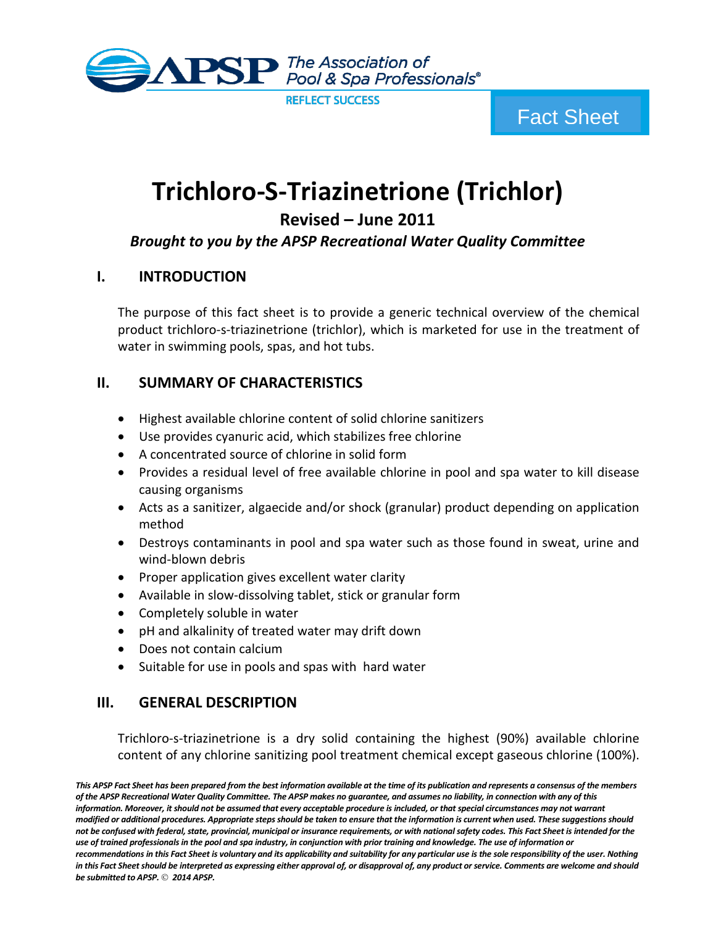

# **Trichloro-S-Triazinetrione (Trichlor)**

**Revised – June 2011**

# *Brought to you by the APSP Recreational Water Quality Committee*

# **I. INTRODUCTION**

The purpose of this fact sheet is to provide a generic technical overview of the chemical product trichloro-s-triazinetrione (trichlor), which is marketed for use in the treatment of water in swimming pools, spas, and hot tubs.

## **II. SUMMARY OF CHARACTERISTICS**

- Highest available chlorine content of solid chlorine sanitizers
- Use provides cyanuric acid, which stabilizes free chlorine
- A concentrated source of chlorine in solid form
- Provides a residual level of free available chlorine in pool and spa water to kill disease causing organisms
- Acts as a sanitizer, algaecide and/or shock (granular) product depending on application method
- Destroys contaminants in pool and spa water such as those found in sweat, urine and wind-blown debris
- Proper application gives excellent water clarity
- Available in slow-dissolving tablet, stick or granular form
- Completely soluble in water
- pH and alkalinity of treated water may drift down
- Does not contain calcium
- Suitable for use in pools and spas with hard water

# **III. GENERAL DESCRIPTION**

Trichloro-s-triazinetrione is a dry solid containing the highest (90%) available chlorine content of any chlorine sanitizing pool treatment chemical except gaseous chlorine (100%).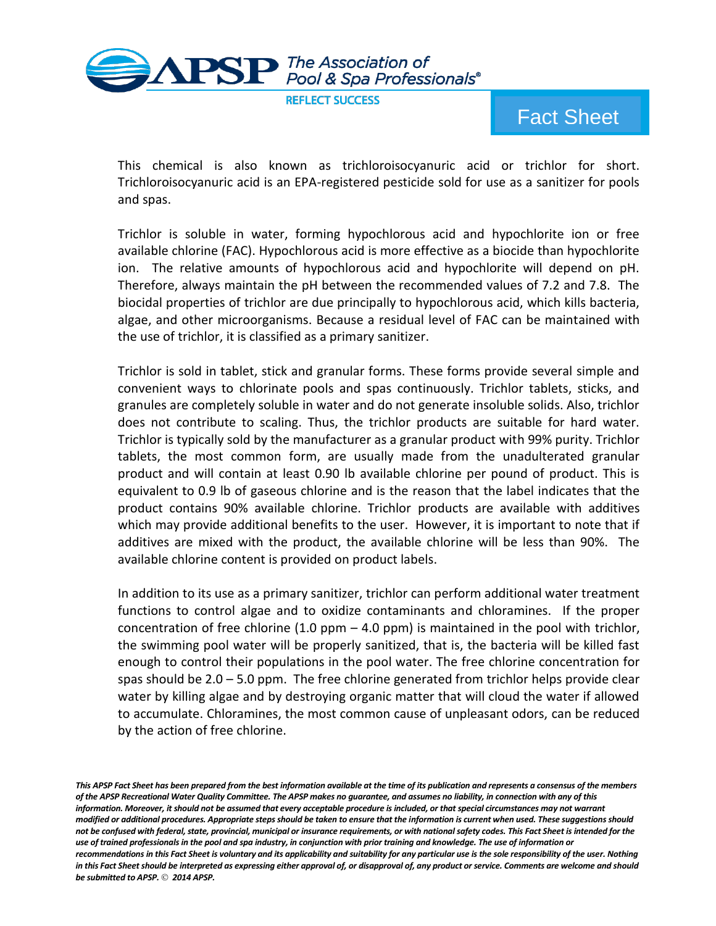

This chemical is also known as trichloroisocyanuric acid or trichlor for short. Trichloroisocyanuric acid is an EPA-registered pesticide sold for use as a sanitizer for pools and spas.

Trichlor is soluble in water, forming hypochlorous acid and hypochlorite ion or free available chlorine (FAC). Hypochlorous acid is more effective as a biocide than hypochlorite ion. The relative amounts of hypochlorous acid and hypochlorite will depend on pH. Therefore, always maintain the pH between the recommended values of 7.2 and 7.8. The biocidal properties of trichlor are due principally to hypochlorous acid, which kills bacteria, algae, and other microorganisms. Because a residual level of FAC can be maintained with the use of trichlor, it is classified as a primary sanitizer.

Trichlor is sold in tablet, stick and granular forms. These forms provide several simple and convenient ways to chlorinate pools and spas continuously. Trichlor tablets, sticks, and granules are completely soluble in water and do not generate insoluble solids. Also, trichlor does not contribute to scaling. Thus, the trichlor products are suitable for hard water. Trichlor is typically sold by the manufacturer as a granular product with 99% purity. Trichlor tablets, the most common form, are usually made from the unadulterated granular product and will contain at least 0.90 lb available chlorine per pound of product. This is equivalent to 0.9 lb of gaseous chlorine and is the reason that the label indicates that the product contains 90% available chlorine. Trichlor products are available with additives which may provide additional benefits to the user. However, it is important to note that if additives are mixed with the product, the available chlorine will be less than 90%. The available chlorine content is provided on product labels.

In addition to its use as a primary sanitizer, trichlor can perform additional water treatment functions to control algae and to oxidize contaminants and chloramines. If the proper concentration of free chlorine  $(1.0 \text{ ppm} - 4.0 \text{ ppm})$  is maintained in the pool with trichlor, the swimming pool water will be properly sanitized, that is, the bacteria will be killed fast enough to control their populations in the pool water. The free chlorine concentration for spas should be  $2.0 - 5.0$  ppm. The free chlorine generated from trichlor helps provide clear water by killing algae and by destroying organic matter that will cloud the water if allowed to accumulate. Chloramines, the most common cause of unpleasant odors, can be reduced by the action of free chlorine.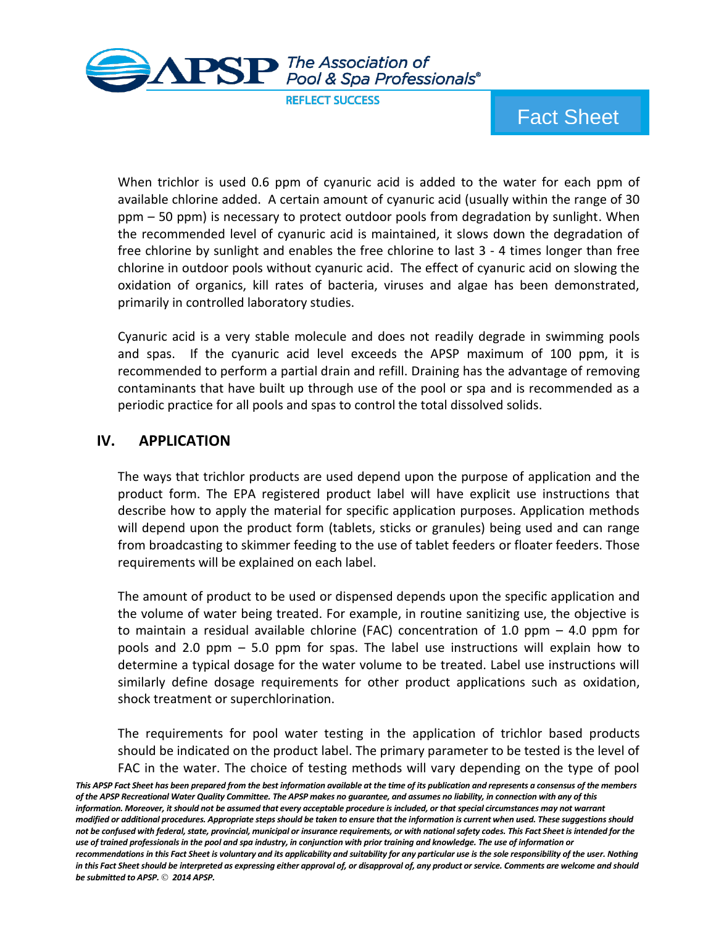

**REFLECT SUCCESS** 

Fact Sheet

When trichlor is used 0.6 ppm of cyanuric acid is added to the water for each ppm of available chlorine added. A certain amount of cyanuric acid (usually within the range of 30 ppm – 50 ppm) is necessary to protect outdoor pools from degradation by sunlight. When the recommended level of cyanuric acid is maintained, it slows down the degradation of free chlorine by sunlight and enables the free chlorine to last 3 - 4 times longer than free chlorine in outdoor pools without cyanuric acid. The effect of cyanuric acid on slowing the oxidation of organics, kill rates of bacteria, viruses and algae has been demonstrated, primarily in controlled laboratory studies.

Cyanuric acid is a very stable molecule and does not readily degrade in swimming pools and spas. If the cyanuric acid level exceeds the APSP maximum of 100 ppm, it is recommended to perform a partial drain and refill. Draining has the advantage of removing contaminants that have built up through use of the pool or spa and is recommended as a periodic practice for all pools and spas to control the total dissolved solids.

## **IV. APPLICATION**

The ways that trichlor products are used depend upon the purpose of application and the product form. The EPA registered product label will have explicit use instructions that describe how to apply the material for specific application purposes. Application methods will depend upon the product form (tablets, sticks or granules) being used and can range from broadcasting to skimmer feeding to the use of tablet feeders or floater feeders. Those requirements will be explained on each label.

The amount of product to be used or dispensed depends upon the specific application and the volume of water being treated. For example, in routine sanitizing use, the objective is to maintain a residual available chlorine (FAC) concentration of 1.0 ppm  $-$  4.0 ppm for pools and 2.0 ppm – 5.0 ppm for spas. The label use instructions will explain how to determine a typical dosage for the water volume to be treated. Label use instructions will similarly define dosage requirements for other product applications such as oxidation, shock treatment or superchlorination.

The requirements for pool water testing in the application of trichlor based products should be indicated on the product label. The primary parameter to be tested is the level of FAC in the water. The choice of testing methods will vary depending on the type of pool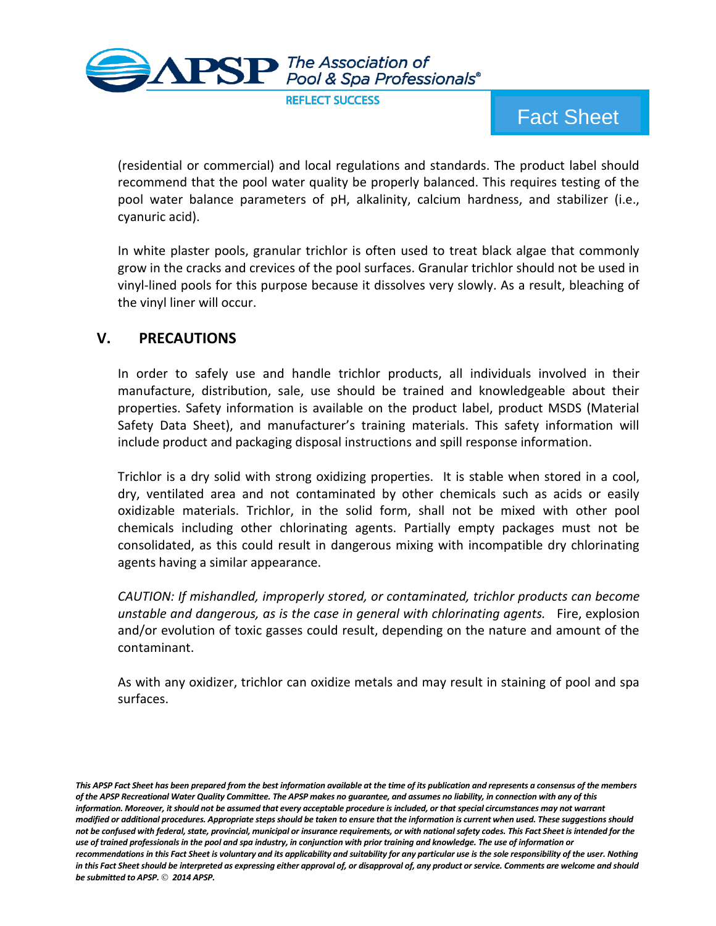

(residential or commercial) and local regulations and standards. The product label should recommend that the pool water quality be properly balanced. This requires testing of the pool water balance parameters of pH, alkalinity, calcium hardness, and stabilizer (i.e., cyanuric acid).

In white plaster pools, granular trichlor is often used to treat black algae that commonly grow in the cracks and crevices of the pool surfaces. Granular trichlor should not be used in vinyl-lined pools for this purpose because it dissolves very slowly. As a result, bleaching of the vinyl liner will occur.

## **V. PRECAUTIONS**

In order to safely use and handle trichlor products, all individuals involved in their manufacture, distribution, sale, use should be trained and knowledgeable about their properties. Safety information is available on the product label, product MSDS (Material Safety Data Sheet), and manufacturer's training materials. This safety information will include product and packaging disposal instructions and spill response information.

Trichlor is a dry solid with strong oxidizing properties. It is stable when stored in a cool, dry, ventilated area and not contaminated by other chemicals such as acids or easily oxidizable materials. Trichlor, in the solid form, shall not be mixed with other pool chemicals including other chlorinating agents. Partially empty packages must not be consolidated, as this could result in dangerous mixing with incompatible dry chlorinating agents having a similar appearance.

*CAUTION: If mishandled, improperly stored, or contaminated, trichlor products can become unstable and dangerous, as is the case in general with chlorinating agents.* Fire, explosion and/or evolution of toxic gasses could result, depending on the nature and amount of the contaminant.

As with any oxidizer, trichlor can oxidize metals and may result in staining of pool and spa surfaces.